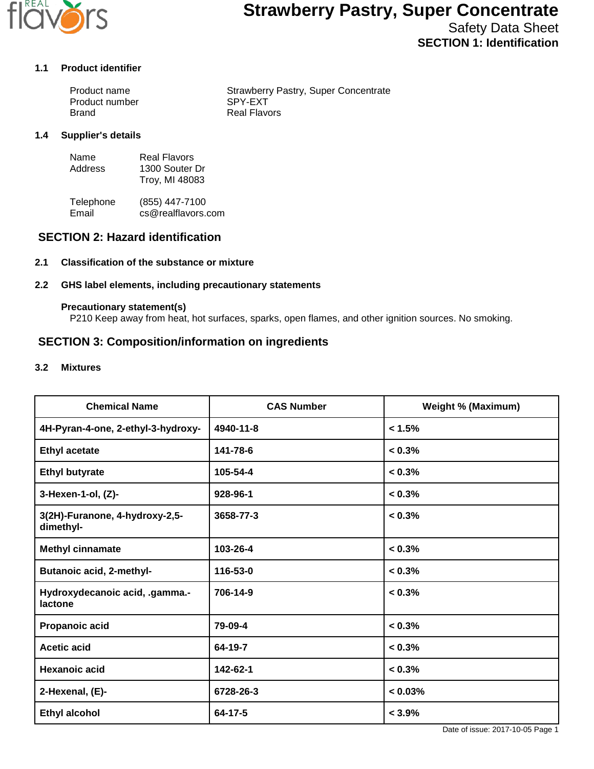

Safety Data Sheet **SECTION 1: Identification**

### **1.1 Product identifier**

| Product name   | <b>Strawberry Pastry, Super Concentrate</b> |
|----------------|---------------------------------------------|
| Product number | SPY-EXT                                     |
| Brand          | Real Flavors                                |

#### **1.4 Supplier's details**

| Name    | <b>Real Flavors</b> |
|---------|---------------------|
| Address | 1300 Souter Dr      |
|         | Troy, MI 48083      |

Telephone (855) 447-7100<br>Email cs@realflavors. cs@realflavors.com

### **SECTION 2: Hazard identification**

#### **2.1 Classification of the substance or mixture**

#### **2.2 GHS label elements, including precautionary statements**

#### **Precautionary statement(s)**

P210 Keep away from heat, hot surfaces, sparks, open flames, and other ignition sources. No smoking.

### **SECTION 3: Composition/information on ingredients**

#### **3.2 Mixtures**

| <b>Chemical Name</b>                        | <b>CAS Number</b> | <b>Weight % (Maximum)</b> |
|---------------------------------------------|-------------------|---------------------------|
| 4H-Pyran-4-one, 2-ethyl-3-hydroxy-          | 4940-11-8         | < 1.5%                    |
| <b>Ethyl acetate</b>                        | 141-78-6          | $< 0.3\%$                 |
| <b>Ethyl butyrate</b>                       | 105-54-4          | $< 0.3\%$                 |
| 3-Hexen-1-ol, (Z)-                          | 928-96-1          | $< 0.3\%$                 |
| 3(2H)-Furanone, 4-hydroxy-2,5-<br>dimethyl- | 3658-77-3         | $< 0.3\%$                 |
| <b>Methyl cinnamate</b>                     | 103-26-4          | $< 0.3\%$                 |
| <b>Butanoic acid, 2-methyl-</b>             | 116-53-0          | $< 0.3\%$                 |
| Hydroxydecanoic acid, .gamma.-<br>lactone   | 706-14-9          | $< 0.3\%$                 |
| Propanoic acid                              | 79-09-4           | < 0.3%                    |
| <b>Acetic acid</b>                          | 64-19-7           | $< 0.3\%$                 |
| <b>Hexanoic acid</b>                        | 142-62-1          | $< 0.3\%$                 |
| 2-Hexenal, (E)-                             | 6728-26-3         | $< 0.03\%$                |
| <b>Ethyl alcohol</b>                        | $64 - 17 - 5$     | $< 3.9\%$                 |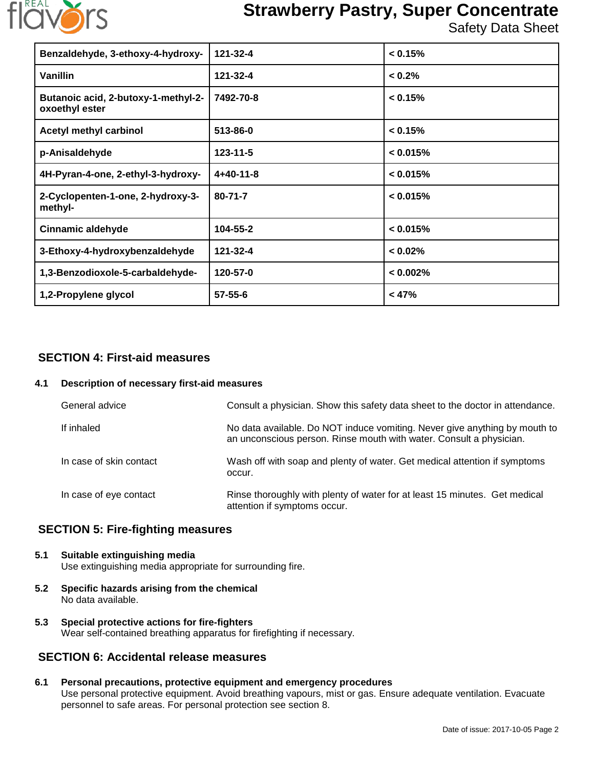

Safety Data Sheet

| Benzaldehyde, 3-ethoxy-4-hydroxy-                     | 121-32-4       | < 0.15%     |
|-------------------------------------------------------|----------------|-------------|
| Vanillin                                              | 121-32-4       | < 0.2%      |
| Butanoic acid, 2-butoxy-1-methyl-2-<br>oxoethyl ester | 7492-70-8      | < 0.15%     |
| Acetyl methyl carbinol                                | 513-86-0       | < 0.15%     |
| p-Anisaldehyde                                        | $123 - 11 - 5$ | < 0.015%    |
| 4H-Pyran-4-one, 2-ethyl-3-hydroxy-                    | $4+40-11-8$    | < 0.015%    |
| 2-Cyclopenten-1-one, 2-hydroxy-3-<br>methyl-          | $80 - 71 - 7$  | < 0.015%    |
| <b>Cinnamic aldehyde</b>                              | 104-55-2       | < 0.015%    |
| 3-Ethoxy-4-hydroxybenzaldehyde                        | 121-32-4       | $< 0.02\%$  |
| 1,3-Benzodioxole-5-carbaldehyde-                      | 120-57-0       | $< 0.002\%$ |
| 1,2-Propylene glycol                                  | $57 - 55 - 6$  | < 47%       |

## **SECTION 4: First-aid measures**

#### **4.1 Description of necessary first-aid measures**

| General advice          | Consult a physician. Show this safety data sheet to the doctor in attendance.                                                                     |
|-------------------------|---------------------------------------------------------------------------------------------------------------------------------------------------|
| If inhaled              | No data available. Do NOT induce vomiting. Never give anything by mouth to<br>an unconscious person. Rinse mouth with water. Consult a physician. |
| In case of skin contact | Wash off with soap and plenty of water. Get medical attention if symptoms<br>occur.                                                               |
| In case of eye contact  | Rinse thoroughly with plenty of water for at least 15 minutes. Get medical<br>attention if symptoms occur.                                        |

## **SECTION 5: Fire-fighting measures**

## **5.1 Suitable extinguishing media**

Use extinguishing media appropriate for surrounding fire.

- **5.2 Specific hazards arising from the chemical** No data available.
- **5.3 Special protective actions for fire-fighters** Wear self-contained breathing apparatus for firefighting if necessary.

## **SECTION 6: Accidental release measures**

## **6.1 Personal precautions, protective equipment and emergency procedures**

Use personal protective equipment. Avoid breathing vapours, mist or gas. Ensure adequate ventilation. Evacuate personnel to safe areas. For personal protection see section 8.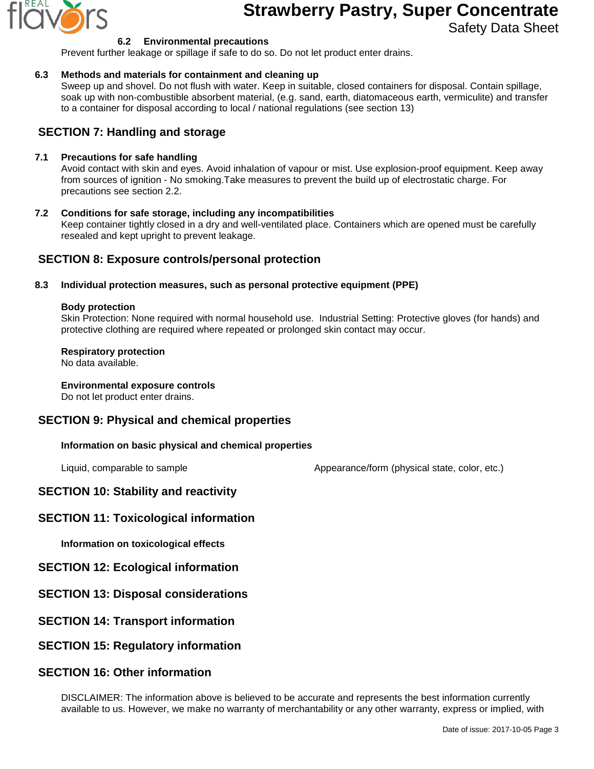

Safety Data Sheet

#### **6.2 Environmental precautions**

Prevent further leakage or spillage if safe to do so. Do not let product enter drains.

#### **6.3 Methods and materials for containment and cleaning up**

Sweep up and shovel. Do not flush with water. Keep in suitable, closed containers for disposal. Contain spillage, soak up with non-combustible absorbent material, (e.g. sand, earth, diatomaceous earth, vermiculite) and transfer to a container for disposal according to local / national regulations (see section 13)

## **SECTION 7: Handling and storage**

#### **7.1 Precautions for safe handling**

Avoid contact with skin and eyes. Avoid inhalation of vapour or mist. Use explosion-proof equipment. Keep away from sources of ignition - No smoking.Take measures to prevent the build up of electrostatic charge. For precautions see section 2.2.

#### **7.2 Conditions for safe storage, including any incompatibilities** Keep container tightly closed in a dry and well-ventilated place. Containers which are opened must be carefully resealed and kept upright to prevent leakage.

### **SECTION 8: Exposure controls/personal protection**

#### **8.3 Individual protection measures, such as personal protective equipment (PPE)**

#### **Body protection**

Skin Protection: None required with normal household use. Industrial Setting: Protective gloves (for hands) and protective clothing are required where repeated or prolonged skin contact may occur.

#### **Respiratory protection**

No data available.

## **Environmental exposure controls**

Do not let product enter drains.

## **SECTION 9: Physical and chemical properties**

#### **Information on basic physical and chemical properties**

Liquid, comparable to sample  $\blacksquare$  Appearance/form (physical state, color, etc.)

## **SECTION 10: Stability and reactivity**

## **SECTION 11: Toxicological information**

**Information on toxicological effects**

### **SECTION 12: Ecological information**

- **SECTION 13: Disposal considerations**
- **SECTION 14: Transport information**

### **SECTION 15: Regulatory information**

## **SECTION 16: Other information**

DISCLAIMER: The information above is believed to be accurate and represents the best information currently available to us. However, we make no warranty of merchantability or any other warranty, express or implied, with